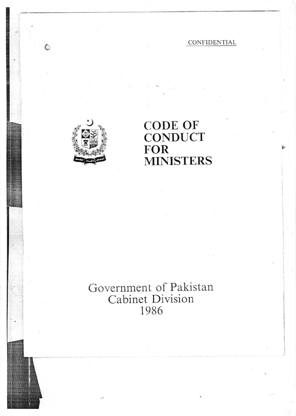## CONFIDENTIAL

tr

I i

I



 $\bigcirc$ 

## 9 CODE OF **CONDUCT** FOR MINISTERS

## Government of Pakistan Cabinet Division 1986